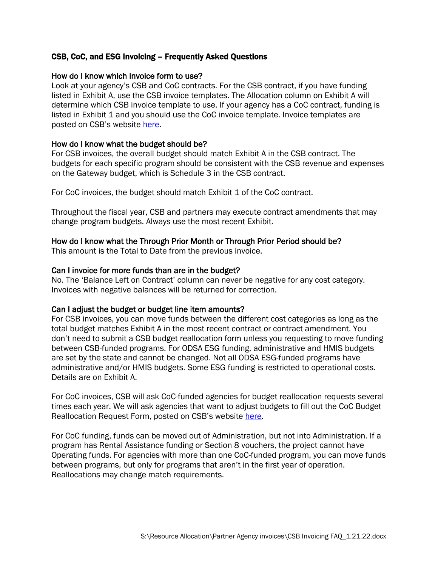## CSB, CoC, and ESG Invoicing – Frequently Asked Questions

### How do I know which invoice form to use?

Look at your agency's CSB and CoC contracts. For the CSB contract, if you have funding listed in Exhibit A, use the CSB invoice templates. The Allocation column on Exhibit A will determine which CSB invoice template to use. If your agency has a CoC contract, funding is listed in Exhibit 1 and you should use the CoC invoice template. Invoice templates are posted on CSB's website [here.](https://www.csb.org/providers/financial-tools)

### How do I know what the budget should be?

For CSB invoices, the overall budget should match Exhibit A in the CSB contract. The budgets for each specific program should be consistent with the CSB revenue and expenses on the Gateway budget, which is Schedule 3 in the CSB contract.

For CoC invoices, the budget should match Exhibit 1 of the CoC contract.

Throughout the fiscal year, CSB and partners may execute contract amendments that may change program budgets. Always use the most recent Exhibit.

### How do I know what the Through Prior Month or Through Prior Period should be?

This amount is the Total to Date from the previous invoice.

### Can I invoice for more funds than are in the budget?

No. The 'Balance Left on Contract' column can never be negative for any cost category. Invoices with negative balances will be returned for correction.

## Can I adjust the budget or budget line item amounts?

For CSB invoices, you can move funds between the different cost categories as long as the total budget matches Exhibit A in the most recent contract or contract amendment. You don't need to submit a CSB budget reallocation form unless you requesting to move funding between CSB-funded programs. For ODSA ESG funding, administrative and HMIS budgets are set by the state and cannot be changed. Not all ODSA ESG-funded programs have administrative and/or HMIS budgets. Some ESG funding is restricted to operational costs. Details are on Exhibit A.

For CoC invoices, CSB will ask CoC-funded agencies for budget reallocation requests several times each year. We will ask agencies that want to adjust budgets to fill out the CoC Budget Reallocation Request Form, posted on CSB's website [here.](https://www.csb.org/providers/financial-tools)

For CoC funding, funds can be moved out of Administration, but not into Administration. If a program has Rental Assistance funding or Section 8 vouchers, the project cannot have Operating funds. For agencies with more than one CoC-funded program, you can move funds between programs, but only for programs that aren't in the first year of operation. Reallocations may change match requirements.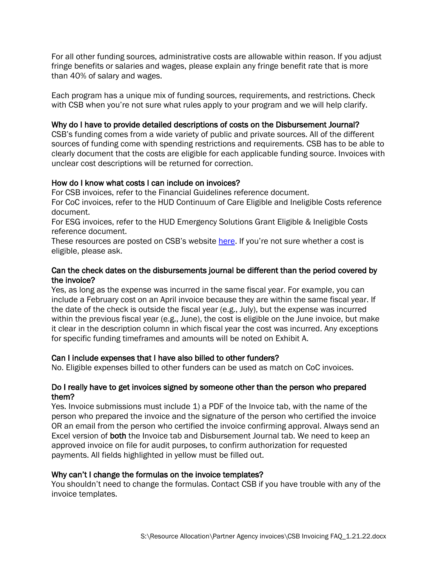For all other funding sources, administrative costs are allowable within reason. If you adjust fringe benefits or salaries and wages, please explain any fringe benefit rate that is more than 40% of salary and wages.

Each program has a unique mix of funding sources, requirements, and restrictions. Check with CSB when you're not sure what rules apply to your program and we will help clarify.

## Why do I have to provide detailed descriptions of costs on the Disbursement Journal?

CSB's funding comes from a wide variety of public and private sources. All of the different sources of funding come with spending restrictions and requirements. CSB has to be able to clearly document that the costs are eligible for each applicable funding source. Invoices with unclear cost descriptions will be returned for correction.

## How do I know what costs I can include on invoices?

For CSB invoices, refer to the Financial Guidelines reference document.

For CoC invoices, refer to the HUD Continuum of Care Eligible and Ineligible Costs reference document.

For ESG invoices, refer to the HUD Emergency Solutions Grant Eligible & Ineligible Costs reference document.

These resources are posted on CSB's website [here.](https://www.csb.org/providers/financial-tools) If you're not sure whether a cost is eligible, please ask.

# Can the check dates on the disbursements journal be different than the period covered by the invoice?

Yes, as long as the expense was incurred in the same fiscal year. For example, you can include a February cost on an April invoice because they are within the same fiscal year. If the date of the check is outside the fiscal year (e.g., July), but the expense was incurred within the previous fiscal year (e.g., June), the cost is eligible on the June invoice, but make it clear in the description column in which fiscal year the cost was incurred. Any exceptions for specific funding timeframes and amounts will be noted on Exhibit A.

# Can I include expenses that I have also billed to other funders?

No. Eligible expenses billed to other funders can be used as match on CoC invoices.

## Do I really have to get invoices signed by someone other than the person who prepared them?

Yes. Invoice submissions must include 1) a PDF of the Invoice tab, with the name of the person who prepared the invoice and the signature of the person who certified the invoice OR an email from the person who certified the invoice confirming approval. Always send an Excel version of both the Invoice tab and Disbursement Journal tab. We need to keep an approved invoice on file for audit purposes, to confirm authorization for requested payments. All fields highlighted in yellow must be filled out.

## Why can't I change the formulas on the invoice templates?

You shouldn't need to change the formulas. Contact CSB if you have trouble with any of the invoice templates.